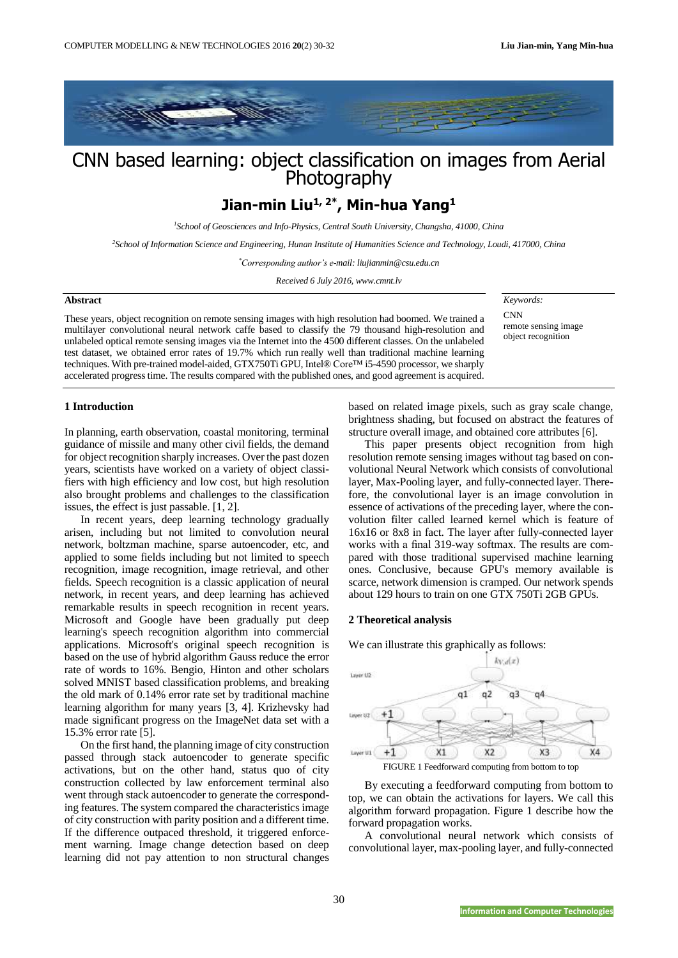

# CNN based learning: object [classification](http://www.baidu.com/link?url=xSX2CbAs3mt5Pc4-KvsbVfqB3qFlamTDlZp63QJbhAu-wr9mHat6u_-7EXdw8S1U3tgkueqvPnGea2syNnlOGUB6xBZVIKQmqdRuQ7vNASS4SmAv2OZKowEheTA7sHu4) on images from Aerial Photography

## **Jian-min Liu1, 2\* , Min-hua Yang<sup>1</sup>**

*<sup>1</sup>School of Geosciences and Info-Physics, Central South University, Changsha, 41000, China*

*<sup>2</sup>School of Information Science and Engineering, Hunan Institute of Humanities Science and Technology, Loudi, 417000, China*

*\*Corresponding author's e-mail: liujianmin@csu.edu.cn*

*Received 6 July 2016, www.cmnt.lv*

### **Abstract**

These years, object recognition on remote sensing images with high resolution had boomed. We trained a multilayer convolutional neural network caffe based to classify the 79 thousand high-resolution and unlabeled optical remote sensing images via the Internet into the 4500 different classes. On the unlabeled test dataset, we obtained error rates of 19.7% which run really well than traditional machine learning techniques. With pre-trained model-aided, GTX750Ti GPU, [Intel® Core™](http://ark.intel.com/products/80815/Intel-Core-i5-4590-Processor-6M-Cache-up-to-3_70-GHz) i5-4590 processor, we sharply accelerated progress time. The results compared with the published ones, and good agreement is acquired.

*Keywords:*  CNN remote sensing image object recognition

#### **1 Introduction**

In planning, earth observation, coastal monitoring, terminal guidance of missile and many other civil fields, the demand for object recognition sharply increases. Over the past dozen years, scientists have worked on a variety of object classifiers with high efficiency and low cost, but high resolution also brought problems and challenges to the classification issues, the effect is just passable. [1, 2].

In recent years, deep learning technology gradually arisen, including but not limited to convolution neural network, boltzman machine, sparse autoencoder, etc, and applied to some fields including but not limited to speech recognition, image recognition, image retrieval, and other fields. Speech recognition is a classic application of neural network, in recent years, and deep learning has achieved remarkable results in speech recognition in recent years. Microsoft and Google have been gradually put deep learning's speech recognition algorithm into commercial applications. Microsoft's original speech recognition is based on the use of hybrid algorithm Gauss reduce the error rate of words to 16%. Bengio, Hinton and other scholars solved MNIST based classification problems, and breaking the old mark of 0.14% error rate set by traditional machine learning algorithm for many years [3, 4]. Krizhevsky had made significant progress on the ImageNet data set with a 15.3% error rate [5].

On the first hand, the planning image of city construction passed through stack autoencoder to generate specific activations, but on the other hand, status quo of city construction collected by law enforcement terminal also went through stack autoencoder to generate the corresponding features. The system compared the characteristics image of city construction with parity position and a different time. If the difference outpaced threshold, it triggered enforcement warning. Image change detection based on deep learning did not pay attention to non structural changes

based on related image pixels, such as gray scale change, brightness shading, but focused on abstract the features of structure overall image, and obtained core attributes [6].

This paper presents object recognition from high resolution remote sensing images without tag based on convolutional Neural Network which consists of convolutional layer, Max-Pooling layer, and fully-connected layer. Therefore, the convolutional layer is an image convolution in essence of activations of the preceding layer, where the convolution filter called learned kernel which is feature of 16x16 or 8x8 in fact. The layer after fully-connected layer works with a final 319-way softmax. The results are compared with those traditional supervised machine learning ones. Conclusive, because GPU's memory available is scarce, network dimension is cramped. Our network spends about 129 hours to train on one GTX 750Ti 2GB GPUs.

#### **2 Theoretical analysis**

We can illustrate this graphically as follows:



FIGURE 1 Feedforward computing from bottom to top

By executing a feedforward computing from bottom to top, we can obtain the activations for layers. We call this algorithm forward propagation. Figure 1 describe how the forward propagation works.

A convolutional neural network which consists of convolutional layer, max-pooling layer, and fully-connected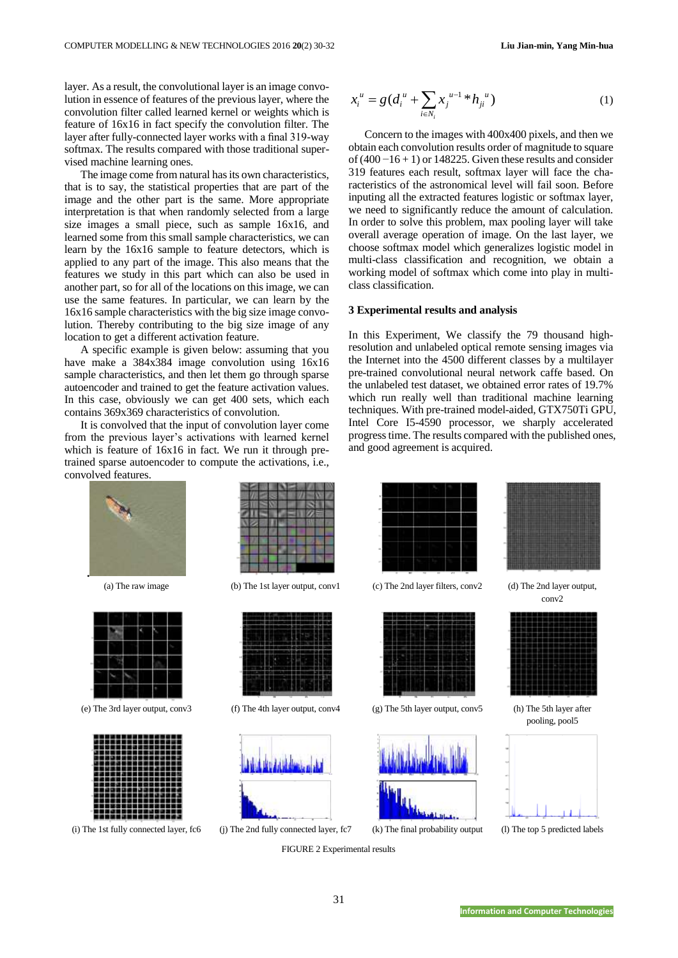layer. As a result, the convolutional layer is an image convolution in essence of features of the previous layer, where the convolution filter called learned kernel or weights which is feature of 16x16 in fact specify the convolution filter. The layer after fully-connected layer works with a final 319-way softmax. The results compared with those traditional supervised machine learning ones.

The image come from natural has its own characteristics, that is to say, the statistical properties that are part of the image and the other part is the same. More appropriate interpretation is that when randomly selected from a large size images a small piece, such as sample 16x16, and learned some from this small sample characteristics, we can learn by the 16x16 sample to feature detectors, which is applied to any part of the image. This also means that the features we study in this part which can also be used in another part, so for all of the locations on this image, we can use the same features. In particular, we can learn by the 16x16 sample characteristics with the big size image convolution. Thereby contributing to the big size image of any location to get a different activation feature.

A specific example is given below: assuming that you have make a 384x384 image convolution using 16x16 sample characteristics, and then let them go through sparse autoencoder and trained to get the feature activation values. In this case, obviously we can get 400 sets, which each contains 369x369 characteristics of convolution.

It is convolved that the input of convolution layer come from the previous layer's activations with learned kernel which is feature of  $16x16$  in fact. We run it through pretrained sparse autoencoder to compute the activations, i.e., convolved features.





(i) The 1st fully connected layer, fc6 (j) The 2nd fully connected layer, fc7 (k) The final probability output (l) The top 5 predicted labels







FIGURE 2 Experimental results

$$
x_i^u = g(d_i^u + \sum_{i \in N_i} x_j^{u-1} * h_{ji}^u)
$$
 (1)

Concern to the images with 400x400 pixels, and then we obtain each convolution results order of magnitude to square of  $(400 - 16 + 1)$  or 148225. Given these results and consider 319 features each result, softmax layer will face the characteristics of the astronomical level will fail soon. Before inputing all the extracted features logistic or softmax layer, we need to significantly reduce the amount of calculation. In order to solve this problem, max pooling layer will take overall average operation of image. On the last layer, we choose softmax model which generalizes logistic model in multi-class classification and recognition, we obtain a working model of softmax which come into play in multiclass classification.

#### **3 Experimental results and analysis**

In this Experiment, We classify the 79 thousand highresolution and unlabeled optical remote sensing images via the Internet into the 4500 different classes by a multilayer pre-trained convolutional neural network caffe based. On the unlabeled test dataset, we obtained error rates of 19.7% which run really well than traditional machine learning techniques. With pre-trained model-aided, GTX750Ti GPU, [Intel Core I5-4590 processor,](http://ark.intel.com/products/80815/Intel-Core-i5-4590-Processor-6M-Cache-up-to-3_70-GHz) we sharply accelerated progresstime. The results compared with the published ones, and good agreement is acquired.